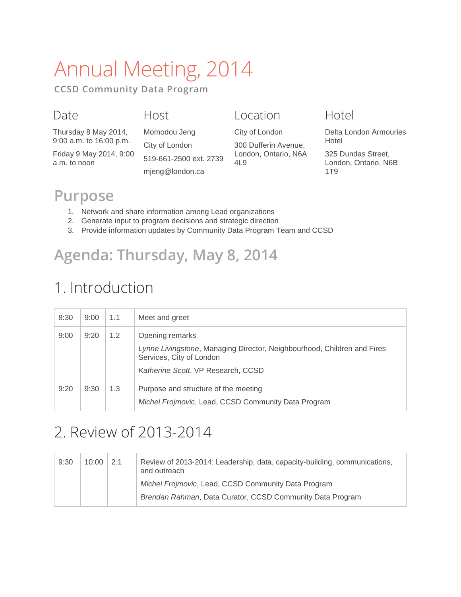# Annual Meeting, 2014

**CCSD Community Data Program**

#### Date

#### Host

Momodou Jeng

Location

Thursday 8 May 2014, 9:00 a.m. to 16:00 p.m.

Friday 9 May 2014, 9:00 a.m. to noon

City of London 519-661-2500 ext. 2739 mjeng@london.ca

| City of London                                      |
|-----------------------------------------------------|
| 300 Dufferin Avenue,<br>London, Ontario, N6A<br>4L9 |
|                                                     |

#### Hotel

Delta London Armouries Hotel

325 Dundas Street, London, Ontario, N6B 1T9

### **Purpose**

- 1. Network and share information among Lead organizations
- 2. Generate input to program decisions and strategic direction
- 3. Provide information updates by Community Data Program Team and CCSD

# **Agenda: Thursday, May 8, 2014**

# 1. Introduction

| 8:30 | 9:00 | 1.1 | Meet and greet                                                                                                                            |
|------|------|-----|-------------------------------------------------------------------------------------------------------------------------------------------|
| 9:00 | 9:20 | 1.2 | Opening remarks                                                                                                                           |
|      |      |     | Lynne Livingstone, Managing Director, Neighbourhood, Children and Fires<br>Services, City of London<br>Katherine Scott, VP Research, CCSD |
| 9:20 | 9:30 | 1.3 | Purpose and structure of the meeting<br>Michel Frojmovic, Lead, CCSD Community Data Program                                               |

### 2. Review of 2013-2014

| 9:30 | 10:00 | 2.1 | Review of 2013-2014: Leadership, data, capacity-building, communications,<br>and outreach |
|------|-------|-----|-------------------------------------------------------------------------------------------|
|      |       |     | Michel Frojmovic, Lead, CCSD Community Data Program                                       |
|      |       |     | Brendan Rahman, Data Curator, CCSD Community Data Program                                 |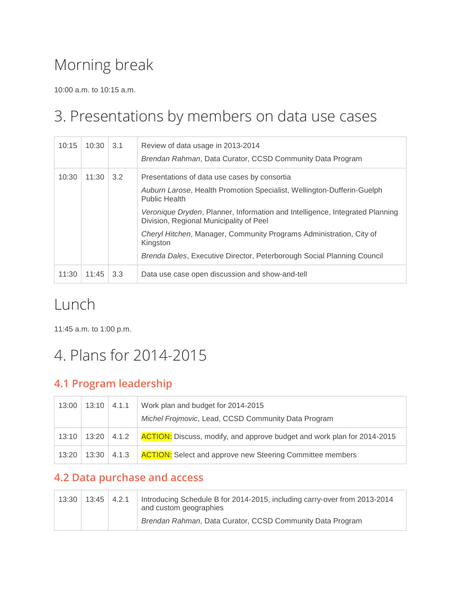# Morning break

10:00 a.m. to 10:15 a.m.

### 3. Presentations by members on data use cases

| 10:15 | 10:30 | 3.1 | Review of data usage in 2013-2014<br>Brendan Rahman, Data Curator, CCSD Community Data Program                          |
|-------|-------|-----|-------------------------------------------------------------------------------------------------------------------------|
| 10:30 | 11:30 | 3.2 | Presentations of data use cases by consortia                                                                            |
|       |       |     | Auburn Larose, Health Promotion Specialist, Wellington-Dufferin-Guelph<br><b>Public Health</b>                          |
|       |       |     | Veronique Dryden, Planner, Information and Intelligence, Integrated Planning<br>Division, Regional Municipality of Peel |
|       |       |     | Cheryl Hitchen, Manager, Community Programs Administration, City of<br>Kingston                                         |
|       |       |     | Brenda Dales, Executive Director, Peterborough Social Planning Council                                                  |
| 11:30 | 11:45 | 3.3 | Data use case open discussion and show-and-tell                                                                         |

### Lunch

11:45 a.m. to 1:00 p.m.

# 4. Plans for 2014-2015

#### **4.1 Program leadership**

| 13:00 | 13:10           | 4.1.1 | Work plan and budget for 2014-2015<br>Michel Frojmovic, Lead, CCSD Community Data Program |
|-------|-----------------|-------|-------------------------------------------------------------------------------------------|
| 13:10 | $13:20$   4.1.2 |       | <b>ACTION:</b> Discuss, modify, and approve budget and work plan for 2014-2015            |
| 13:20 | 13:30           | 4.1.3 | <b>ACTION:</b> Select and approve new Steering Committee members                          |

#### **4.2 Data purchase and access**

| 13:30 | $13:45$ $4.2.1$ | Introducing Schedule B for 2014-2015, including carry-over from 2013-2014<br>and custom geographies |
|-------|-----------------|-----------------------------------------------------------------------------------------------------|
|       |                 | Brendan Rahman, Data Curator, CCSD Community Data Program                                           |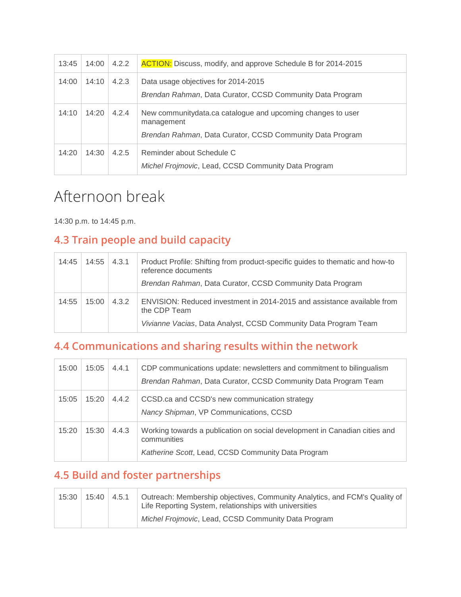| 13:45 | 14:00 | 4.2.2 | <b>ACTION:</b> Discuss, modify, and approve Schedule B for 2014-2015                                                                    |
|-------|-------|-------|-----------------------------------------------------------------------------------------------------------------------------------------|
| 14:00 | 14:10 | 4.2.3 | Data usage objectives for 2014-2015<br>Brendan Rahman, Data Curator, CCSD Community Data Program                                        |
| 14:10 | 14:20 | 4.2.4 | New community data.ca catalogue and upcoming changes to user<br>management<br>Brendan Rahman, Data Curator, CCSD Community Data Program |
| 14:20 | 14:30 | 4.2.5 | Reminder about Schedule C<br>Michel Frojmovic, Lead, CCSD Community Data Program                                                        |

# Afternoon break

14:30 p.m. to 14:45 p.m.

#### **4.3 Train people and build capacity**

| 14:45 | 14:55 | 4.3.1 | Product Profile: Shifting from product-specific guides to thematic and how-to<br>reference documents<br>Brendan Rahman, Data Curator, CCSD Community Data Program |
|-------|-------|-------|-------------------------------------------------------------------------------------------------------------------------------------------------------------------|
| 14:55 | 15:00 | 4.3.2 | ENVISION: Reduced investment in 2014-2015 and assistance available from<br>the CDP Team<br>Vivianne Vacias, Data Analyst, CCSD Community Data Program Team        |

#### **4.4 Communications and sharing results within the network**

| 15:00 | 15:05 | 4.4.1 | CDP communications update: newsletters and commitment to bilingualism<br>Brendan Rahman, Data Curator, CCSD Community Data Program Team         |
|-------|-------|-------|-------------------------------------------------------------------------------------------------------------------------------------------------|
| 15:05 | 15:20 | 4.4.2 | CCSD.ca and CCSD's new communication strategy<br>Nancy Shipman, VP Communications, CCSD                                                         |
| 15:20 | 15:30 | 4.4.3 | Working towards a publication on social development in Canadian cities and<br>communities<br>Katherine Scott, Lead, CCSD Community Data Program |

#### **4.5 Build and foster partnerships**

| 15:30 | 15:40 | 4.5.1 | Outreach: Membership objectives, Community Analytics, and FCM's Quality of<br>Life Reporting System, relationships with universities |
|-------|-------|-------|--------------------------------------------------------------------------------------------------------------------------------------|
|       |       |       | Michel Frojmovic, Lead, CCSD Community Data Program                                                                                  |